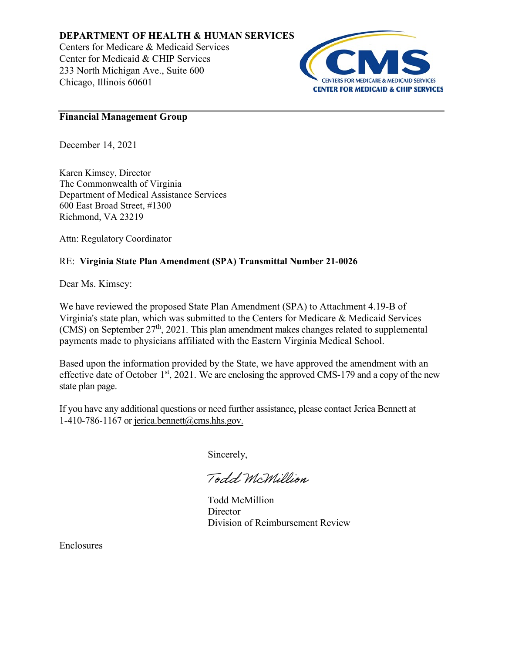## **DEPARTMENT OF HEALTH & HUMAN SERVICES**

Centers for Medicare & Medicaid Services Center for Medicaid & CHIP Services 233 North Michigan Ave., Suite 600 Chicago, Illinois 60601



## **Financial Management Group**

December 14, 2021

Karen Kimsey, Director The Commonwealth of Virginia Department of Medical Assistance Services 600 East Broad Street, #1300 Richmond, VA 23219

Attn: Regulatory Coordinator

## RE: **Virginia State Plan Amendment (SPA) Transmittal Number 21-0026**

Dear Ms. Kimsey:

We have reviewed the proposed State Plan Amendment (SPA) to Attachment 4.19-B of Virginia's state plan, which was submitted to the Centers for Medicare & Medicaid Services (CMS) on September  $27<sup>th</sup>$ , 2021. This plan amendment makes changes related to supplemental payments made to physicians affiliated with the Eastern Virginia Medical School.

Based upon the information provided by the State, we have approved the amendment with an effective date of October 1<sup>st</sup>, 2021. We are enclosing the approved CMS-179 and a copy of the new state plan page.

If you have any additional questions or need further assistance, please contact Jerica Bennett at 1-410-786-1167 or jerica.bennett@cms.hhs.gov.

Sincerely,

Todd McMillion

Todd McMillion **Director** Division of Reimbursement Review

Enclosures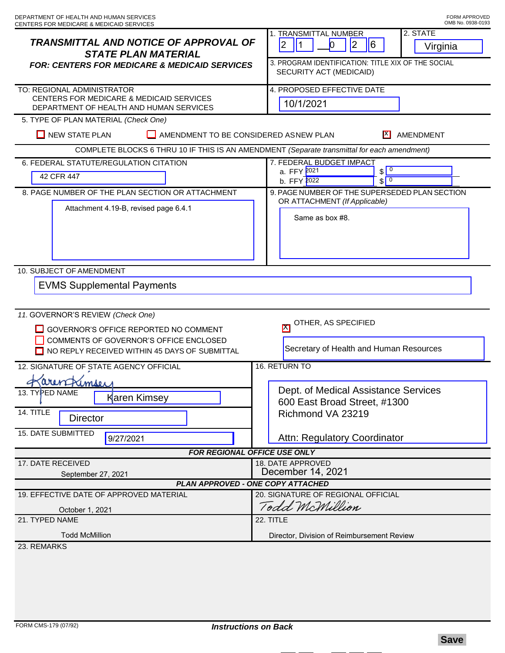| <b>TRANSMITTAL AND NOTICE OF APPROVAL OF</b><br><b>STATE PLAN MATERIAL</b><br><b>FOR: CENTERS FOR MEDICARE &amp; MEDICAID SERVICES</b> | 2. STATE<br><b>1. TRANSMITTAL NUMBER</b><br>$ 2\rangle$<br> 2 <br>$\vert$ 1<br>0<br>$6\overline{6}$<br>Virginia<br>3. PROGRAM IDENTIFICATION: TITLE XIX OF THE SOCIAL<br>SECURITY ACT (MEDICAID) |
|----------------------------------------------------------------------------------------------------------------------------------------|--------------------------------------------------------------------------------------------------------------------------------------------------------------------------------------------------|
| TO: REGIONAL ADMINISTRATOR<br>CENTERS FOR MEDICARE & MEDICAID SERVICES<br>DEPARTMENT OF HEALTH AND HUMAN SERVICES                      | 4. PROPOSED EFFECTIVE DATE<br>10/1/2021                                                                                                                                                          |
| 5. TYPE OF PLAN MATERIAL (Check One)                                                                                                   |                                                                                                                                                                                                  |
| $\Box$ NEW STATE PLAN<br>AMENDMENT TO BE CONSIDERED ASNEW PLAN<br>AMENDMENT                                                            |                                                                                                                                                                                                  |
| COMPLETE BLOCKS 6 THRU 10 IF THIS IS AN AMENDMENT (Separate transmittal for each amendment)                                            |                                                                                                                                                                                                  |
| 6. FEDERAL STATUTE/REGULATION CITATION<br>42 CFR 447                                                                                   | 7. FEDERAL BUDGET IMPACT<br>$\sqrt{0}$<br>a. FFY 2021<br>$\sqrt{0}$<br>b. FFY 2022                                                                                                               |
| 8. PAGE NUMBER OF THE PLAN SECTION OR ATTACHMENT                                                                                       | 9. PAGE NUMBER OF THE SUPERSEDED PLAN SECTION                                                                                                                                                    |
| Attachment 4.19-B, revised page 6.4.1                                                                                                  | OR ATTACHMENT (If Applicable)<br>Same as box #8.                                                                                                                                                 |
| 10. SUBJECT OF AMENDMENT                                                                                                               |                                                                                                                                                                                                  |
| <b>EVMS Supplemental Payments</b>                                                                                                      |                                                                                                                                                                                                  |
| 11. GOVERNOR'S REVIEW (Check One)                                                                                                      | OTHER, AS SPECIFIED                                                                                                                                                                              |
| GOVERNOR'S OFFICE REPORTED NO COMMENT<br>COMMENTS OF GOVERNOR'S OFFICE ENCLOSED                                                        | $\mathsf{K}$                                                                                                                                                                                     |
| NO REPLY RECEIVED WITHIN 45 DAYS OF SUBMITTAL                                                                                          | Secretary of Health and Human Resources                                                                                                                                                          |
| 16. RETURN TO<br>12. SIGNATURE OF STATE AGENCY OFFICIAL                                                                                |                                                                                                                                                                                                  |
| arentrimsey                                                                                                                            | Dept. of Medical Assistance Services                                                                                                                                                             |
| 13. TYPED NAME<br>Karen Kimsey                                                                                                         | 600 East Broad Street, #1300                                                                                                                                                                     |
| 14. TITLE<br><b>Director</b>                                                                                                           | Richmond VA 23219                                                                                                                                                                                |
| 15. DATE SUBMITTED<br>9/27/2021                                                                                                        | <b>Attn: Regulatory Coordinator</b>                                                                                                                                                              |
| <b>FOR REGIONAL OFFICE USE ONLY</b>                                                                                                    |                                                                                                                                                                                                  |
| 17. DATE RECEIVED<br>September 27, 2021                                                                                                | 18. DATE APPROVED<br>December 14, 2021                                                                                                                                                           |
| PLAN APPROVED - ONE COPY ATTACHED                                                                                                      |                                                                                                                                                                                                  |
| 19. EFFECTIVE DATE OF APPROVED MATERIAL                                                                                                | 20. SIGNATURE OF REGIONAL OFFICIAL                                                                                                                                                               |
| October 1, 2021                                                                                                                        | Todd McMillion                                                                                                                                                                                   |
| 21. TYPED NAME                                                                                                                         | 22. TITLE                                                                                                                                                                                        |
| <b>Todd McMillion</b>                                                                                                                  | Director, Division of Reimbursement Review                                                                                                                                                       |
| 23. REMARKS                                                                                                                            |                                                                                                                                                                                                  |
|                                                                                                                                        |                                                                                                                                                                                                  |